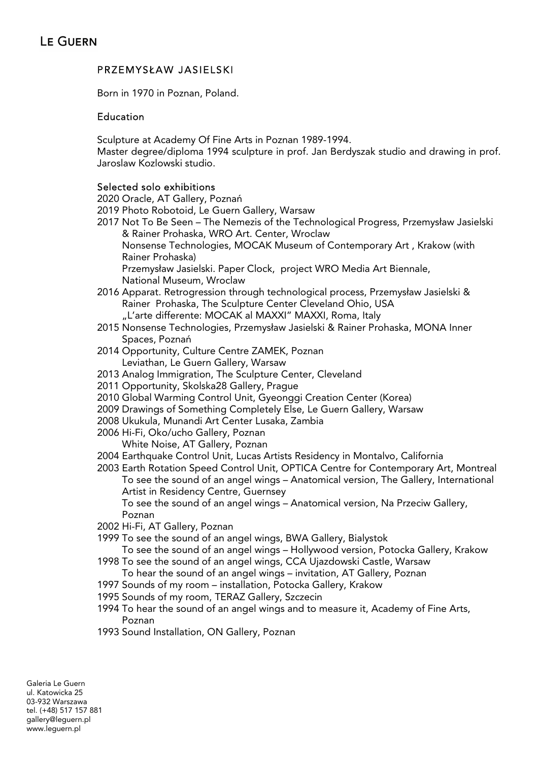# PRZEMYSŁAW JASIELSKI

Born in 1970 in Poznan, Poland.

# Education

Sculpture at Academy Of Fine Arts in Poznan 1989-1994.

Master degree/diploma 1994 sculpture in prof. Jan Berdyszak studio and drawing in prof. Jaroslaw Kozlowski studio.

# Selected solo exhibitions

2020 Oracle, AT Gallery, Poznań

- 2019 Photo Robotoid, Le Guern Gallery, Warsaw
- 2017 Not To Be Seen The Nemezis of the Technological Progress, Przemysław Jasielski & Rainer Prohaska, WRO Art. Center, Wroclaw Nonsense Technologies, MOCAK Museum of Contemporary Art , Krakow (with Rainer Prohaska) Przemysław Jasielski. Paper Clock, project WRO Media Art Biennale, National Museum, Wroclaw
- 2016 Apparat. Retrogression through technological process, Przemysław Jasielski & Rainer Prohaska, The Sculpture Center Cleveland Ohio, USA "L'arte differente: MOCAK al MAXXI" MAXXI, Roma, Italy
- 2015 Nonsense Technologies, Przemysław Jasielski & Rainer Prohaska, MONA Inner Spaces, Poznań
- 2014 Opportunity, Culture Centre ZAMEK, Poznan Leviathan, Le Guern Gallery, Warsaw
- 2013 Analog Immigration, The Sculpture Center, Cleveland
- 2011 Opportunity, Skolska28 Gallery, Prague
- 2010 Global Warming Control Unit, Gyeonggi Creation Center (Korea)
- 2009 Drawings of Something Completely Else, Le Guern Gallery, Warsaw
- 2008 Ukukula, Munandi Art Center Lusaka, Zambia
- 2006 Hi-Fi, Oko/ucho Gallery, Poznan White Noise, AT Gallery, Poznan
- 2004 Earthquake Control Unit, Lucas Artists Residency in Montalvo, California
- 2003 Earth Rotation Speed Control Unit, OPTICA Centre for Contemporary Art, Montreal To see the sound of an angel wings – Anatomical version, The Gallery, International Artist in Residency Centre, Guernsey To see the sound of an angel wings – Anatomical version, Na Przeciw Gallery, Poznan
- 2002 Hi-Fi, AT Gallery, Poznan
- 1999 To see the sound of an angel wings, BWA Gallery, Bialystok
- To see the sound of an angel wings Hollywood version, Potocka Gallery, Krakow
- 1998 To see the sound of an angel wings, CCA Ujazdowski Castle, Warsaw To hear the sound of an angel wings – invitation, AT Gallery, Poznan
- 1997 Sounds of my room installation, Potocka Gallery, Krakow
- 1995 Sounds of my room, TERAZ Gallery, Szczecin
- 1994 To hear the sound of an angel wings and to measure it, Academy of Fine Arts, Poznan
- 1993 Sound Installation, ON Gallery, Poznan

Galeria Le Guern ul. Katowicka 25 03-932 Warszawa tel. (+48) 517 157 881 gallery@leguern.pl www.leguern.pl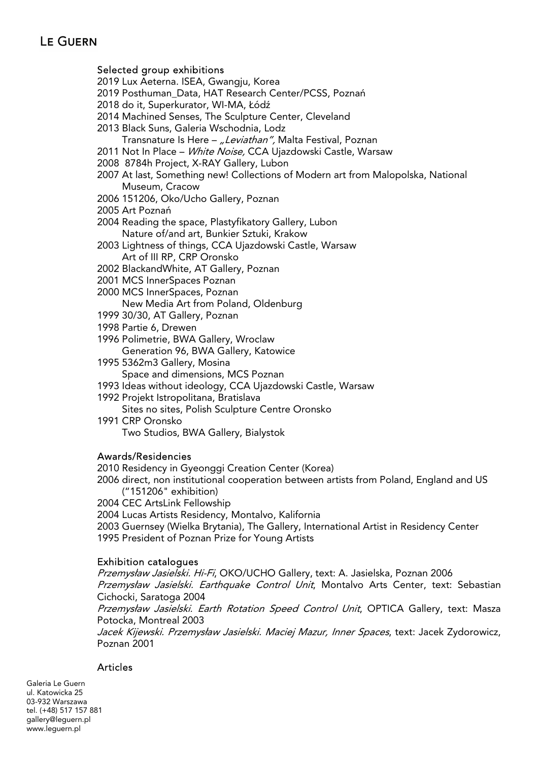## Selected group exhibitions

- 2019 Lux Aeterna. ISEA, Gwangju, Korea
- 2019 Posthuman\_Data, HAT Research Center/PCSS, Poznań
- 2018 do it, Superkurator, WI-MA, Łódź
- 2014 Machined Senses, The Sculpture Center, Cleveland
- 2013 Black Suns, Galeria Wschodnia, Lodz
	- Transnature Is Here "Leviathan", Malta Festival, Poznan
- 2011 Not In Place White Noise, CCA Ujazdowski Castle, Warsaw
- 2008 8784h Project, X-RAY Gallery, Lubon
- 2007 At last, Something new! Collections of Modern art from Malopolska, National Museum, Cracow
- 2006 151206, Oko/Ucho Gallery, Poznan
- 2005 Art Poznań
- 2004 Reading the space, Plastyfikatory Gallery, Lubon Nature of/and art, Bunkier Sztuki, Krakow
- 2003 Lightness of things, CCA Ujazdowski Castle, Warsaw Art of III RP, CRP Oronsko
- 2002 BlackandWhite, AT Gallery, Poznan
- 2001 MCS InnerSpaces Poznan
- 2000 MCS InnerSpaces, Poznan New Media Art from Poland, Oldenburg
- 1999 30/30, AT Gallery, Poznan
- 1998 Partie 6, Drewen
- 1996 Polimetrie, BWA Gallery, Wroclaw Generation 96, BWA Gallery, Katowice
- 1995 5362m3 Gallery, Mosina Space and dimensions, MCS Poznan
- 1993 Ideas without ideology, CCA Ujazdowski Castle, Warsaw
- 1992 Projekt Istropolitana, Bratislava Sites no sites, Polish Sculpture Centre Oronsko
- 1991 CRP Oronsko Two Studios, BWA Gallery, Bialystok

### Awards/Residencies

2010 Residency in Gyeonggi Creation Center (Korea)

- 2006 direct, non institutional cooperation between artists from Poland, England and US ("151206" exhibition)
- 2004 CEC ArtsLink Fellowship
- 2004 Lucas Artists Residency, Montalvo, Kalifornia
- 2003 Guernsey (Wielka Brytania), The Gallery, International Artist in Residency Center 1995 President of Poznan Prize for Young Artists

### Exhibition catalogues

Przemysław Jasielski. Hi-Fi, OKO/UCHO Gallery, text: A. Jasielska, Poznan 2006

Przemysław Jasielski. Earthquake Control Unit, Montalvo Arts Center, text: Sebastian Cichocki, Saratoga 2004

Przemysław Jasielski. Earth Rotation Speed Control Unit, OPTICA Gallery, text: Masza Potocka, Montreal 2003

Jacek Kijewski. Przemysław Jasielski. Maciej Mazur, Inner Spaces, text: Jacek Zydorowicz, Poznan 2001

# Articles

Galeria Le Guern ul. Katowicka 25 03-932 Warszawa tel. (+48) 517 157 881 gallery@leguern.pl www.leguern.pl